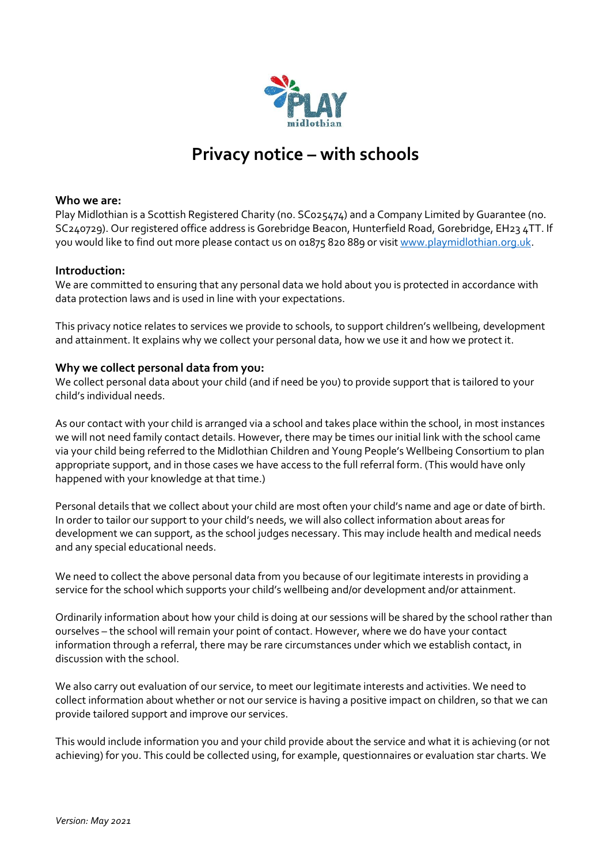

# **Privacy notice – with schools**

## **Who we are:**

Play Midlothian is a Scottish Registered Charity (no. SC025474) and a Company Limited by Guarantee (no. SC240729). Our registered office address is Gorebridge Beacon, Hunterfield Road, Gorebridge, EH23 4TT. If you would like to find out more please contact us on 01875 820 889 or visi[t www.playmidlothian.org.uk.](http://www.playmidlothian.org.uk/)

## **Introduction:**

We are committed to ensuring that any personal data we hold about you is protected in accordance with data protection laws and is used in line with your expectations.

This privacy notice relates to services we provide to schools, to support children's wellbeing, development and attainment. It explains why we collect your personal data, how we use it and how we protect it.

## **Why we collect personal data from you:**

We collect personal data about your child (and if need be you) to provide support that is tailored to your child's individual needs.

As our contact with your child is arranged via a school and takes place within the school, in most instances we will not need family contact details. However, there may be times our initial link with the school came via your child being referred to the Midlothian Children and Young People's Wellbeing Consortium to plan appropriate support, and in those cases we have access to the full referral form. (This would have only happened with your knowledge at that time.)

Personal details that we collect about your child are most often your child's name and age or date of birth. In order to tailor our support to your child's needs, we will also collect information about areas for development we can support, as the school judges necessary. This may include health and medical needs and any special educational needs.

We need to collect the above personal data from you because of our legitimate interests in providing a service for the school which supports your child's wellbeing and/or development and/or attainment.

Ordinarily information about how your child is doing at our sessions will be shared by the school rather than ourselves – the school will remain your point of contact. However, where we do have your contact information through a referral, there may be rare circumstances under which we establish contact, in discussion with the school.

We also carry out evaluation of our service, to meet our legitimate interests and activities. We need to collect information about whether or not our service is having a positive impact on children, so that we can provide tailored support and improve our services.

This would include information you and your child provide about the service and what it is achieving (or not achieving) for you. This could be collected using, for example, questionnaires or evaluation star charts. We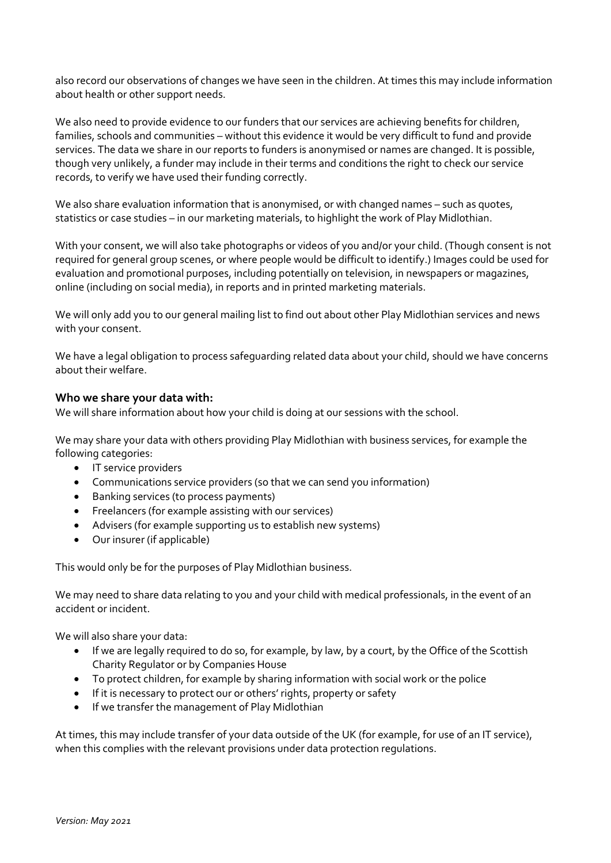also record our observations of changes we have seen in the children. At times this may include information about health or other support needs.

We also need to provide evidence to our funders that our services are achieving benefits for children, families, schools and communities – without this evidence it would be very difficult to fund and provide services. The data we share in our reports to funders is anonymised or names are changed. It is possible, though very unlikely, a funder may include in their terms and conditions the right to check our service records, to verify we have used their funding correctly.

We also share evaluation information that is anonymised, or with changed names – such as quotes, statistics or case studies – in our marketing materials, to highlight the work of Play Midlothian.

With your consent, we will also take photographs or videos of you and/or your child. (Though consent is not required for general group scenes, or where people would be difficult to identify.) Images could be used for evaluation and promotional purposes, including potentially on television, in newspapers or magazines, online (including on social media), in reports and in printed marketing materials.

We will only add you to our general mailing list to find out about other Play Midlothian services and news with your consent.

We have a legal obligation to process safeguarding related data about your child, should we have concerns about their welfare.

## **Who we share your data with:**

We will share information about how your child is doing at our sessions with the school.

We may share your data with others providing Play Midlothian with business services, for example the following categories:

- IT service providers
- Communications service providers (so that we can send you information)
- Banking services (to process payments)
- Freelancers (for example assisting with our services)
- Advisers (for example supporting us to establish new systems)
- Our insurer (if applicable)

This would only be for the purposes of Play Midlothian business.

We may need to share data relating to you and your child with medical professionals, in the event of an accident or incident.

We will also share your data:

- If we are legally required to do so, for example, by law, by a court, by the Office of the Scottish Charity Regulator or by Companies House
- To protect children, for example by sharing information with social work or the police
- If it is necessary to protect our or others' rights, property or safety
- If we transfer the management of Play Midlothian

At times, this may include transfer of your data outside of the UK (for example, for use of an IT service), when this complies with the relevant provisions under data protection regulations.